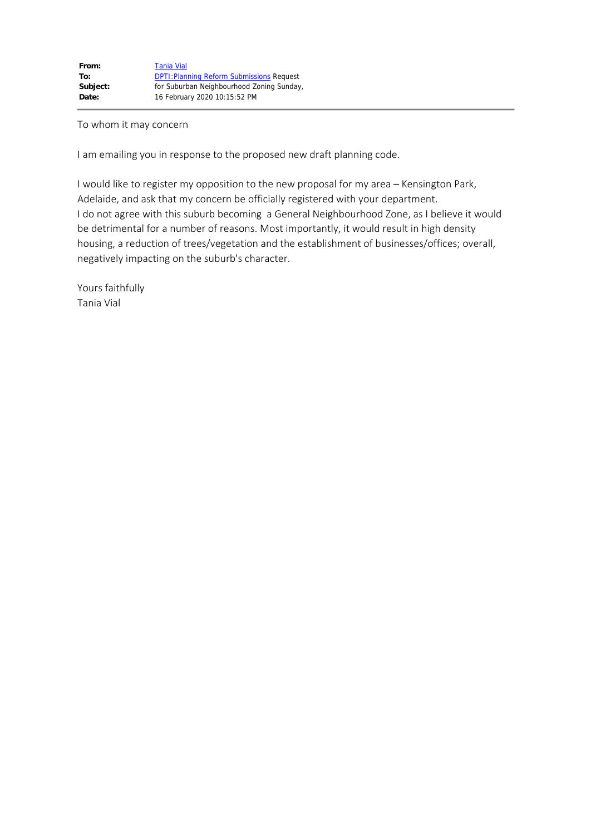## To whom it may concern

I am emailing you in response to the proposed new draft planning code.

I would like to register my opposition to the new proposal for my area – Kensington Park, Adelaide, and ask that my concern be officially registered with your department. I do not agree with this suburb becoming a General Neighbourhood Zone, as I believe it would be detrimental for a number of reasons. Most importantly, it would result in high density housing, a reduction of trees/vegetation and the establishment of businesses/offices; overall, negatively impacting on the suburb's character.

Yours faithfully Tania Vial